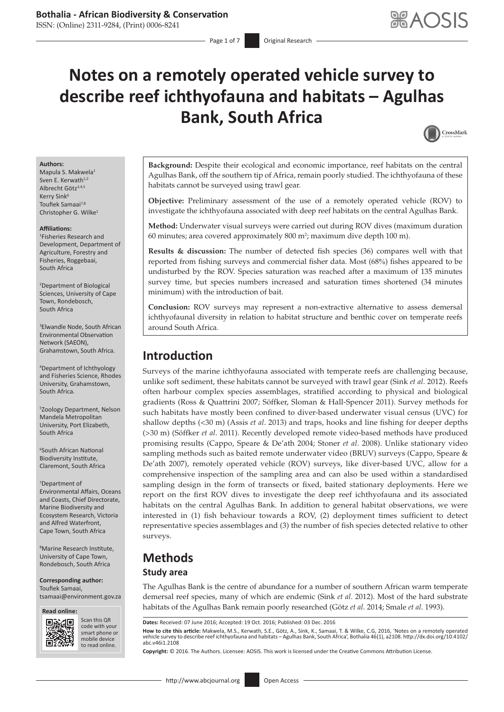ISSN: (Online) 2311-9284, (Print) 0006-8241

# **Notes on a remotely operated vehicle survey to describe reef ichthyofauna and habitats – Agulhas Bank, South Africa**



#### **Authors:**

Mapula S. Makwela<sup>1</sup> Sven E. Kerwath<sup>1,2</sup> Albrecht Götz<sup>3,4,5</sup> Kerry Sink<sup>6</sup> Toufiek Samaai<sup>7,8</sup> Christopher G. Wilke<sup>1</sup>

#### **Affiliations:**

1 Fisheries Research and Development, Department of Agriculture, Forestry and Fisheries, Roggebaai, South Africa

2 Department of Biological Sciences, University of Cape Town, Rondebosch, South Africa

3 Elwandle Node, South African Environmental Observation Network (SAEON), Grahamstown, South Africa.

4 Department of Ichthyology and Fisheries Science, Rhodes University, Grahamstown, South Africa.

5 Zoology Department, Nelson Mandela Metropolitan University, Port Elizabeth, South Africa

6 South African National Biodiversity Institute, Claremont, South Africa

7 Department of Environmental Affairs, Oceans and Coasts, Chief Directorate, Marine Biodiversity and Ecosystem Research, Victoria and Alfred Waterfront, Cape Town, South Africa

8 Marine Research Institute, University of Cape Town, Rondebosch, South Africa

**Corresponding author:** Toufiek Samaai, [tsamaai@environment.gov.za](mailto:tsamaai@environment.gov.za)

**Read online: Read** 



Scan this QR code with your Scan this QR<br>code with your<br>smart phone or<br>mobile device mobile device to read online. to read online.

**Background:** Despite their ecological and economic importance, reef habitats on the central Agulhas Bank, off the southern tip of Africa, remain poorly studied. The ichthyofauna of these habitats cannot be surveyed using trawl gear.

**Objective:** Preliminary assessment of the use of a remotely operated vehicle (ROV) to investigate the ichthyofauna associated with deep reef habitats on the central Agulhas Bank.

**Method:** Underwater visual surveys were carried out during ROV dives (maximum duration 60 minutes; area covered approximately  $800 \text{ m}^2$ ; maximum dive depth 100 m).

**Results & discussion:** The number of detected fish species (36) compares well with that reported from fishing surveys and commercial fisher data. Most (68%) fishes appeared to be undisturbed by the ROV. Species saturation was reached after a maximum of 135 minutes survey time, but species numbers increased and saturation times shortened (34 minutes minimum) with the introduction of bait.

**Conclusion:** ROV surveys may represent a non-extractive alternative to assess demersal ichthyofaunal diversity in relation to habitat structure and benthic cover on temperate reefs around South Africa.

## **Introduction**

Surveys of the marine ichthyofauna associated with temperate reefs are challenging because, unlike soft sediment, these habitats cannot be surveyed with trawl gear (Sink *et al.* 2012). Reefs often harbour complex species assemblages, stratified according to physical and biological gradients (Ross & Quattrini 2007; Söffker, Sloman & Hall-Spencer 2011). Survey methods for such habitats have mostly been confined to diver-based underwater visual census (UVC) for shallow depths (<30 m) (Assis *et al*. 2013) and traps, hooks and line fishing for deeper depths (>30 m) (Söffker *et al*. 2011). Recently developed remote video-based methods have produced promising results (Cappo, Speare & De'ath 2004; Stoner *et al*. 2008). Unlike stationary video sampling methods such as baited remote underwater video (BRUV) surveys (Cappo, Speare & De'ath 2007), remotely operated vehicle (ROV) surveys, like diver-based UVC, allow for a comprehensive inspection of the sampling area and can also be used within a standardised sampling design in the form of transects or fixed, baited stationary deployments. Here we report on the first ROV dives to investigate the deep reef ichthyofauna and its associated habitats on the central Agulhas Bank. In addition to general habitat observations, we were interested in (1) fish behaviour towards a ROV, (2) deployment times sufficient to detect representative species assemblages and (3) the number of fish species detected relative to other surveys.

## **Methods**

#### **Study area**

The Agulhas Bank is the centre of abundance for a number of southern African warm temperate demersal reef species, many of which are endemic (Sink *et al*. 2012). Most of the hard substrate habitats of the Agulhas Bank remain poorly researched (Götz *et al*. 2014; Smale *et al*. 1993).

**How to cite this article:** Makwela, M.S., Kerwath, S.E., Götz, A., Sink, K., Samaai, T. & Wilke, C.G, 2016, 'Notes on a remotely operated vehicle survey to describe reef ichthyofauna and habitats – Agulhas Bank, South Africa', Bothalia 46(1), a2108. [http://dx.doi.org/10.4102/](http://dx.doi.org/10.4102/abc.v46i1.2108) [abc.v46i1.2108](http://dx.doi.org/10.4102/abc.v46i1.2108)

**Copyright:** © 2016. The Authors. Licensee: AOSIS. This work is licensed under the Creative Commons Attribution License.

**Dates:** Received: 07 June 2016; Accepted: 19 Oct. 2016; Published: 03 Dec. 2016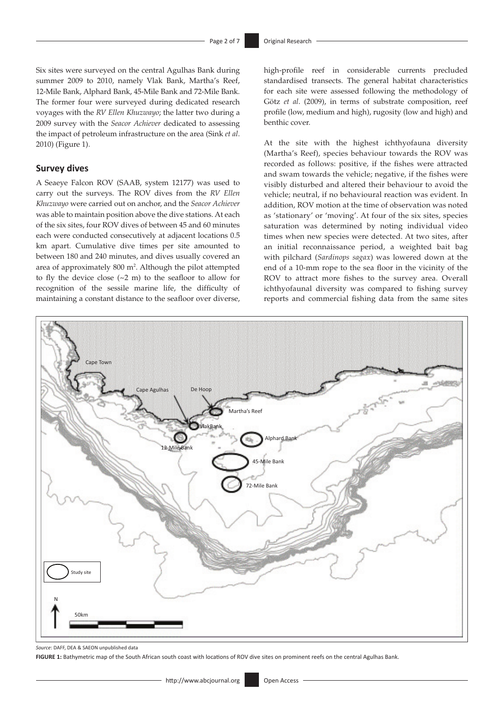Six sites were surveyed on the central Agulhas Bank during summer 2009 to 2010, namely Vlak Bank, Martha's Reef, 12-Mile Bank, Alphard Bank, 45-Mile Bank and 72-Mile Bank. The former four were surveyed during dedicated research voyages with the *RV Ellen Khuzwayo*; the latter two during a 2009 survey with the *Seacor Achiever* dedicated to assessing the impact of petroleum infrastructure on the area (Sink *et al*. 2010) (Figure 1).

#### **Survey dives**

A Seaeye Falcon ROV (SAAB, system 12177) was used to carry out the surveys. The ROV dives from the *RV Ellen Khuzwayo* were carried out on anchor, and the *Seacor Achiever* was able to maintain position above the dive stations. At each of the six sites, four ROV dives of between 45 and 60 minutes each were conducted consecutively at adjacent locations 0.5 km apart. Cumulative dive times per site amounted to between 180 and 240 minutes, and dives usually covered an area of approximately 800 m<sup>2</sup>. Although the pilot attempted to fly the device close (~2 m) to the seafloor to allow for recognition of the sessile marine life, the difficulty of maintaining a constant distance to the seafloor over diverse,

high-profile reef in considerable currents precluded standardised transects. The general habitat characteristics for each site were assessed following the methodology of Götz *et al*. (2009), in terms of substrate composition, reef profile (low, medium and high), rugosity (low and high) and benthic cover.

At the site with the highest ichthyofauna diversity (Martha's Reef), species behaviour towards the ROV was recorded as follows: positive, if the fishes were attracted and swam towards the vehicle; negative, if the fishes were visibly disturbed and altered their behaviour to avoid the vehicle; neutral, if no behavioural reaction was evident. In addition, ROV motion at the time of observation was noted as 'stationary' or 'moving'. At four of the six sites, species saturation was determined by noting individual video times when new species were detected. At two sites, after an initial reconnaissance period, a weighted bait bag with pilchard (*Sardinops sagax*) was lowered down at the end of a 10-mm rope to the sea floor in the vicinity of the ROV to attract more fishes to the survey area. Overall ichthyofaunal diversity was compared to fishing survey reports and commercial fishing data from the same sites



*Source*: DAFF, DEA & SAEON unpublished data

**FIGURE 1:** Bathymetric map of the South African south coast with locations of ROV dive sites on prominent reefs on the central Agulhas Bank.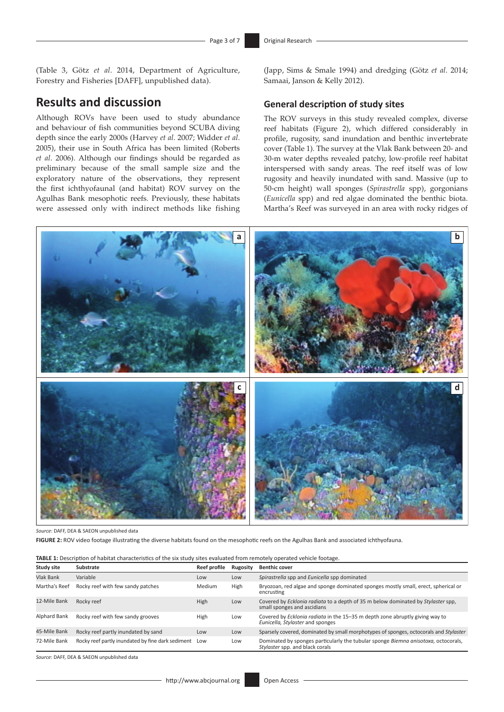(Table 3, Götz *et al*. 2014, Department of Agriculture, Forestry and Fisheries [DAFF], unpublished data).

## **Results and discussion**

Although ROVs have been used to study abundance and behaviour of fish communities beyond SCUBA diving depth since the early 2000s (Harvey *et al*. 2007; Widder *et al*. 2005), their use in South Africa has been limited (Roberts *et al*. 2006). Although our findings should be regarded as preliminary because of the small sample size and the exploratory nature of the observations, they represent the first ichthyofaunal (and habitat) ROV survey on the Agulhas Bank mesophotic reefs. Previously, these habitats were assessed only with indirect methods like fishing (Japp, Sims & Smale 1994) and dredging (Götz *et al*. 2014; Samaai, Janson & Kelly 2012).

#### **General description of study sites**

The ROV surveys in this study revealed complex, diverse reef habitats (Figure 2), which differed considerably in profile, rugosity, sand inundation and benthic invertebrate cover (Table 1). The survey at the Vlak Bank between 20- and 30-m water depths revealed patchy, low-profile reef habitat interspersed with sandy areas. The reef itself was of low rugosity and heavily inundated with sand. Massive (up to 50-cm height) wall sponges (*Spirastrella* spp), gorgonians (*Eunicella* spp) and red algae dominated the benthic biota. Martha's Reef was surveyed in an area with rocky ridges of



*Source*: DAFF, DEA & SAEON unpublished data

**FIGURE 2:** ROV video footage illustrating the diverse habitats found on the mesophotic reefs on the Agulhas Bank and associated ichthyofauna.

| <b>TABLE 1:</b> Description of habitat characteristics of the six study sites evaluated from remotely operated vehicle footage. |                                                       |              |          |                                                                                                                         |  |  |
|---------------------------------------------------------------------------------------------------------------------------------|-------------------------------------------------------|--------------|----------|-------------------------------------------------------------------------------------------------------------------------|--|--|
| Study site                                                                                                                      | Substrate                                             | Reef profile | Rugosity | <b>Benthic cover</b>                                                                                                    |  |  |
| <b>Vlak Bank</b>                                                                                                                | Variable                                              | Low          | Low      | Spirastrella spp and Eunicella spp dominated                                                                            |  |  |
| Martha's Reef                                                                                                                   | Rocky reef with few sandy patches                     | Medium       | High     | Bryozoan, red algae and sponge dominated sponges mostly small, erect, spherical or<br>encrusting                        |  |  |
| 12-Mile Bank                                                                                                                    | Rocky reef                                            | High         | Low      | Covered by Ecklonia radiata to a depth of 35 m below dominated by Stylaster spp,<br>small sponges and ascidians         |  |  |
| Alphard Bank                                                                                                                    | Rocky reef with few sandy grooves                     | High         | Low      | Covered by <i>Ecklonia radiata</i> in the 15-35 m depth zone abruptly giving way to<br>Eunicella, Stylaster and sponges |  |  |
| 45-Mile Bank                                                                                                                    | Rocky reef partly inundated by sand                   | Low          | Low      | Sparsely covered, dominated by small morphotypes of sponges, octocorals and Stylaster                                   |  |  |
| 72-Mile Bank                                                                                                                    | Rocky reef partly inundated by fine dark sediment Low |              | Low      | Dominated by sponges particularly the tubular sponge Biemna anisotoxa, octocorals,<br>Stylaster spp. and black corals   |  |  |

*Source*: DAFF, DEA & SAEON unpublished data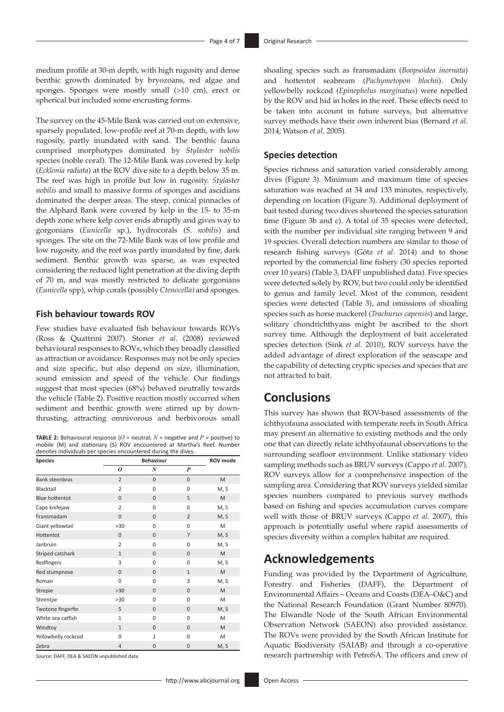medium profile at 30-m depth, with high rugosity and dense benthic growth dominated by bryozoans, red algae and sponges. Sponges were mostly small (>10 cm), erect or spherical but included some encrusting forms.

The survey on the 45-Mile Bank was carried out on extensive, sparsely populated, low-profile reef at 70-m depth, with low rugosity, partly inundated with sand. The benthic fauna comprised morphotypes dominated by *Stylaster nobilis* species (noble coral). The 12-Mile Bank was covered by kelp (*Ecklonia radiata*) at the ROV dive site to a depth below 35 m. The reef was high in profile but low in rugosity. *Stylaster nobilis* and small to massive forms of sponges and ascidians dominated the deeper areas. The steep, conical pinnacles of the Alphard Bank were covered by kelp in the 15- to 35-m depth zone where kelp cover ends abruptly and gives way to gorgonians (*Eunicella* sp.), hydrocorals (*S. nobilis*) and sponges. The site on the 72-Mile Bank was of low profile and low rugosity, and the reef was partly inundated by fine, dark sediment. Benthic growth was sparse, as was expected considering the reduced light penetration at the diving depth of 70 m, and was mostly restricted to delicate gorgonians (*Eunicella* spp), whip corals (possibly *Ctenocella)* and sponges.

#### **Fish behaviour towards ROV**

Few studies have evaluated fish behaviour towards ROVs (Ross & Quattrini 2007). Stoner *et al*. (2008) reviewed behavioural responses to ROVs, which they broadly classified as attraction or avoidance. Responses may not be only species and size specific, but also depend on size, illumination, sound emission and speed of the vehicle. Our findings suggest that most species (68%) behaved neutrally towards the vehicle (Table 2). Positive reaction mostly occurred when sediment and benthic growth were stirred up by downthrusting, attracting omnivorous and herbivorous small

**TABLE 2:** Behavioural response (*O* = neutral, *N* = negative and *P* = positive) to mobile (M) and stationary (S) ROV encountered at Martha's Reef. Number denotes individuals per species encountered during the dives.

| <b>Species</b>        |                | <b>Behaviour</b> |                |      |  |
|-----------------------|----------------|------------------|----------------|------|--|
|                       | 0              | N                | P              |      |  |
| <b>Bank steenbras</b> | $\overline{2}$ | $\mathbf{0}$     | $\mathbf{0}$   | M    |  |
| Blacktail             | $\overline{2}$ | $\Omega$         | $\Omega$       | M, S |  |
| <b>Blue hottentot</b> | $\mathbf{0}$   | $\mathbf{0}$     | 5              | M    |  |
| Cape knifejaw         | $\overline{2}$ | $\Omega$         | 0              | M, S |  |
| Fransmadam            | $\Omega$       | $\Omega$         | $\overline{2}$ | M, S |  |
| Giant yellowtail      | >30            | $\Omega$         | $\Omega$       | M    |  |
| Hottentot             | $\mathbf{0}$   | $\mathbf{0}$     | $\overline{7}$ | M, S |  |
| Janbruin              | $\overline{2}$ | $\Omega$         | $\Omega$       | M, S |  |
| Striped catshark      | $\mathbf{1}$   | $\Omega$         | 0              | M    |  |
| Redfingers            | 3              | $\Omega$         | 0              | M, S |  |
| Red stumpnose         | $\mathbf{0}$   | $\mathbf{0}$     | $\mathbf{1}$   | M    |  |
| Roman                 | $\Omega$       | $\Omega$         | 3              | M, S |  |
| <b>Strepie</b>        | >30            | $\Omega$         | 0              | M    |  |
| Steentjie             | >30            | $\Omega$         | $\Omega$       | M    |  |
| Twotone fingerfin     | 5              | $\mathbf{0}$     | 0              | M, S |  |
| White sea catfish     | $\mathbf{1}$   | 0                | 0              | M    |  |
| Windtoy               | $\mathbf{1}$   | $\Omega$         | $\mathbf{0}$   | M    |  |
| Yellowbelly rockcod   | 0              | $\mathbf{1}$     | 0              | M    |  |
| Zebra                 | $\overline{4}$ | $\Omega$         | 0              | M, S |  |

*Source*: DAFF, DEA & SAEON unpublished data

shoaling species such as fransmadam (*Boopsoidea inornata*) and hottentot seabream (*Pachymetopon blochii*). Only yellowbelly rockcod (*Epinephelus marginatus*) were repelled by the ROV and hid in holes in the reef. These effects need to be taken into account in future surveys, but alternative survey methods have their own inherent bias (Bernard *et al*. 2014; Watson *et al*. 2005).

#### **Species detection**

Species richness and saturation varied considerably among dives (Figure 3). Minimum and maximum time of species saturation was reached at 34 and 133 minutes, respectively, depending on location (Figure 3). Additional deployment of bait tested during two dives shortened the species saturation time (Figure 3b and c). A total of 35 species were detected, with the number per individual site ranging between 9 and 19 species. Overall detection numbers are similar to those of research fishing surveys (Götz *et al*. 2014) and to those reported by the commercial line fishery (30 species reported over 10 years) (Table 3, DAFF unpublished data). Five species were detected solely by ROV, but two could only be identified to genus and family level. Most of the common, resident species were detected (Table 3), and omissions of shoaling species such as horse mackerel (*Trachurus capensis*) and large, solitary chondrichthyans might be ascribed to the short survey time. Although the deployment of bait accelerated species detection (Sink *et al*. 2010), ROV surveys have the added advantage of direct exploration of the seascape and the capability of detecting cryptic species and species that are not attracted to bait.

## **Conclusions**

This survey has shown that ROV-based assessments of the ichthyofauna associated with temperate reefs in South Africa may present an alternative to existing methods and the only one that can directly relate ichthyofaunal observations to the surrounding seafloor environment. Unlike stationary video sampling methods such as BRUV surveys (Cappo *et al*. 2007), ROV surveys allow for a comprehensive inspection of the sampling area. Considering that ROV surveys yielded similar species numbers compared to previous survey methods based on fishing and species accumulation curves compare well with those of BRUV surveys (Cappo *et al*. 2007), this approach is potentially useful where rapid assessments of species diversity within a complex habitat are required.

## **Acknowledgements**

Funding was provided by the Department of Agriculture, Forestry and Fisheries (DAFF), the Department of Environmental Affairs – Oceans and Coasts (DEA–O&C) and the National Research Foundation (Grant Number 80970). The Elwandle Node of the South African Environmental Observation Network (SAEON) also provided assistance. The ROVs were provided by the South African Institute for Aquatic Biodiversity (SAIAB) and through a co-operative research partnership with PetroSA. The officers and crew of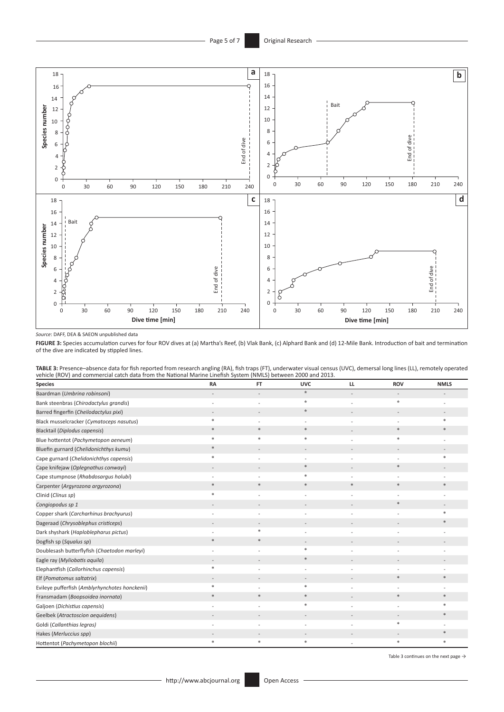

*Source*: DAFF, DEA & SAEON unpublished data

**FIGURE 3:** Species accumulation curves for four ROV dives at (a) Martha's Reef, (b) Vlak Bank, (c) Alphard Bank and (d) 12-Mile Bank. Introduction of bait and termination of the dive are indicated by stippled lines.

| TABLE 3: Presence-absence data for fish reported from research angling (RA), fish traps (FT), underwater visual census (UVC), demersal long lines (LL), remotely operated |  |
|---------------------------------------------------------------------------------------------------------------------------------------------------------------------------|--|
| vehicle (ROV) and commercial catch data from the National Marine Linefish System (NMLS) between 2000 and 2013.                                                            |  |

| <b>Species</b>                                 | <b>RA</b>    | <b>FT</b> | <b>UVC</b> | LL     | <b>ROV</b> | <b>NMLS</b> |
|------------------------------------------------|--------------|-----------|------------|--------|------------|-------------|
| Baardman (Umbrina robinsoni)                   |              |           | $\star$    |        |            |             |
| Bank steenbras (Chirodactylus grandis)         |              |           | $\star$    |        | $\star$    |             |
| Barred fingerfin (Cheilodactylus pixi)         |              |           | $\star$    |        |            |             |
| Black musselcracker (Cymatoceps nasutus)       |              |           |            |        |            |             |
| Blacktail (Diplodus capensis)                  | $\ast$       | $\ast$    | $\ast$     |        | $\ast$     |             |
| Blue hottentot (Pachymetopon aeneum)           |              |           |            |        |            |             |
| Bluefin gurnard (Chelidonichthys kumu)         |              |           |            |        |            |             |
| Cape gurnard (Chelidonichthys capensis)        | 宋            |           |            |        |            |             |
| Cape knifejaw (Oplegnathus conwayi)            |              |           | $\ast$     |        | $\ast$     |             |
| Cape stumpnose (Rhabdosargus holubi)           |              |           | *          |        |            |             |
| Carpenter (Argyrozona argyrozona)              | $\ast$       | $\ast$    | $\ast$     | $\ast$ | $\ast$     |             |
| Clinid (Clinus sp)                             | $\mathbf{z}$ |           |            |        |            |             |
| Congiopodus sp 1                               |              |           |            |        |            |             |
| Copper shark (Carcharhinus brachyurus)         |              |           |            |        |            |             |
| Dageraad (Chrysoblephus cristiceps)            |              |           |            |        |            |             |
| Dark shyshark (Haploblepharus pictus)          |              |           |            |        |            |             |
| Dogfish sp (Squalus sp)                        | $\ast$       | $\ast$    |            |        |            |             |
| Doublesash butterflyfish (Chaetodon marleyi)   |              |           |            |        |            |             |
| Eagle ray (Myliobatis aquila)                  |              |           | $*$        |        |            |             |
| Elephantfish (Callorhinchus capensis)          |              |           |            |        |            |             |
| Elf (Pomatomus saltatrix)                      |              |           |            |        | $\ast$     |             |
| Evileye pufferfish (Amblyrhynchotes honckenii) |              |           | $\ast$     |        |            |             |
| Fransmadam (Boopsoidea inornata)               | 希            | $\ast$    | $\ast$     |        |            |             |
| Galjoen (Dichistius capensis)                  |              |           | $\ast$     |        |            |             |
| <b>Geelbek (Atractoscion aequidens)</b>        |              |           |            |        |            |             |
| Goldi (Callanthias legras)                     |              |           |            |        |            |             |
| Hakes (Merluccius spp)                         |              |           |            |        |            |             |
| Hottentot (Pachymetopon blochii)               |              | ş         |            |        |            |             |

Table 3 continues on the next page  $\rightarrow$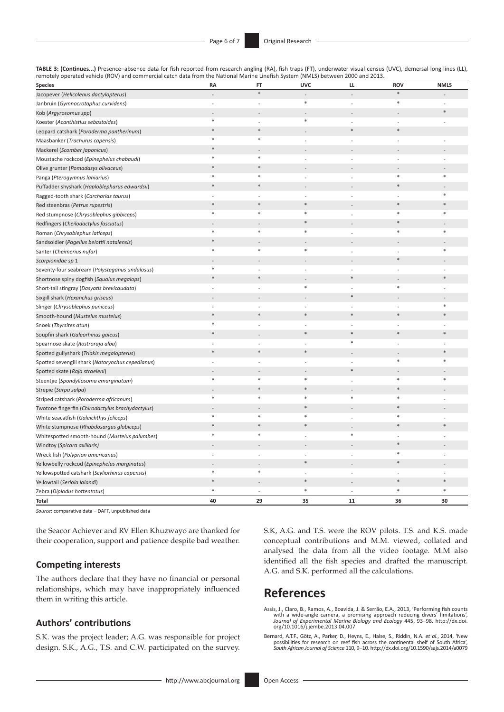| TABLE 3: (Continues) Presence-absence data for fish reported from research angling (RA), fish traps (FT), underwater visual census (UVC), demersal long lines (LL), |  |
|---------------------------------------------------------------------------------------------------------------------------------------------------------------------|--|
| remotely operated vehicle (ROV) and commercial catch data from the National Marine Linefish System (NMLS) between 2000 and 2013.                                    |  |

| <b>Species</b>                                   | RA     | FT             | <b>UVC</b> | ш              | <b>ROV</b>     | <b>NMLS</b> |
|--------------------------------------------------|--------|----------------|------------|----------------|----------------|-------------|
| Jacopever (Helicolenus dactylopterus)            |        | $\ast$         |            |                | $\ast$         |             |
| Janbruin (Gymnocrotaphus curvidens)              |        |                | $\ast$     |                | $\ast$         |             |
| Kob (Argyrosomus spp)                            |        |                |            |                |                | $\ast$      |
| Koester (Acanthistius sebastoides)               | $\ast$ | $\overline{a}$ | $\ast$     | $\overline{a}$ | $\overline{a}$ |             |
| Leopard catshark (Poroderma pantherinum)         | *      | $\ast$         |            | $\ast$         | $\ast$         |             |
| Maasbanker (Trachurus capensis)                  | $\ast$ | $\ast$         |            |                |                |             |
| Mackerel (Scomber japonicus)                     |        |                |            |                |                |             |
| Moustache rockcod (Epinephelus chabaudi)         | 举      | *              |            |                |                |             |
| Olive grunter (Pomadasys olivaceus)              | $\ast$ | $\ast$         |            |                |                |             |
| Panga (Pterogymnus laniarius)                    | $\ast$ | *              |            |                | $\ast$         | $\ast$      |
| Puffadder shyshark (Haploblepharus edwardsii)    |        |                |            |                |                |             |
| Ragged-tooth shark (Carcharias taurus)           |        |                |            |                |                | $\ast$      |
| Red steenbras (Petrus rupestris)                 |        | $\ast$         | $\ast$     |                | $\ast$         |             |
| Red stumpnose (Chrysoblephus gibbiceps)          | 宋      | $\ast$         | $\ast$     |                | $\ast$         | $\ast$      |
| Redfingers (Cheilodactylus fasciatus)            |        |                |            |                |                |             |
| Roman (Chrysoblephus laticeps)                   | $\ast$ | $\ast$         | $\ast$     | L,             | $\ast$         | $\ast$      |
| Sandsoldier (Pagellus belottii natalensis)       |        |                |            |                |                |             |
| Santer (Cheimerius nufar)                        | $\ast$ | $\ast$         | *          |                |                | *           |
| Scorpionidae sp 1                                |        |                |            |                | $\ast$         |             |
| Seventy-four seabream (Polysteganus undulosus)   | 未      | $\overline{a}$ | ÷,         | ÷,             |                |             |
| Shortnose spiny dogfish (Squalus megalops)       | $\ast$ | $\ast$         |            | ∗              |                | *           |
| Short-tail stingray (Dasyatis brevicaudata)      |        |                | *          |                | *              |             |
| Sixgill shark (Hexanchus griseus)                |        |                |            | $\ast$         |                |             |
| Slinger (Chrysoblephus puniceus)                 |        |                |            |                |                | $\ast$      |
| Smooth-hound (Mustelus mustelus)                 | $\ast$ | $\ast$         | $\ast$     | $\ast$         | $\ast$         | $\ast$      |
| Snoek (Thyrsites atun)                           | $\ast$ |                |            |                |                |             |
| Soupfin shark (Galeorhinus galeus)               | $\ast$ |                | $\ast$     | $\ast$         | $\ast$         | $\ast$      |
| Spearnose skate (Rostroraja alba)                |        |                |            | $\ast$         |                |             |
| Spotted gullyshark (Triakis megalopterus)        | $\ast$ | $\ast$         | $\ast$     |                |                | ×           |
| Spotted sevengill shark (Notorynchus cepedianus) |        |                |            |                | $\ast$         | $\ast$      |
| Spotted skate (Raja straeleni)                   |        |                |            | $\ast$         |                |             |
| Steentjie (Spondyliosoma emarginatum)            | $\ast$ | $\ast$         | $\ast$     |                | *              | *           |
| Strepie (Sarpa salpa)                            |        | $\ast$         | $\ast$     |                | $\ast$         |             |
| Striped catshark (Poroderma africanum)           | $\ast$ | $\ast$         | $\ast$     | $\ast$         | $\ast$         |             |
| Twotone fingerfin (Chirodactylus brachydactylus) |        |                | $\ast$     |                | $\ast$         |             |
| White seacatfish (Galeichthys feliceps)          | *      | *              |            |                |                |             |
| White stumpnose (Rhabdosargus globiceps)         | $\ast$ | $\ast$         | $*$        |                | $*$            | $\ast$      |
| Whitespotted smooth-hound (Mustelus palumbes)    | $\ast$ | $\ast$         |            | $\ast$         |                |             |
| Windtoy (Spicara axillaris)                      |        |                |            |                | $\ast$         |             |
| Wreck fish (Polyprion americanus)                |        | $\overline{a}$ |            | $\overline{a}$ | ∗              |             |
| Yellowbelly rockcod (Epinephelus marginatus)     |        |                | $\ast$     |                | $*$            |             |
| Yellowspotted catshark (Scyliorhinus capensis)   | $\ast$ | $\ast$         |            |                |                |             |
| Yellowtail (Seriola lalandi)                     | $\ast$ |                | $\ast$     |                | $\ast$         | $*$         |
| Zebra (Diplodus hottentotus)                     | $\ast$ |                | *          |                | $\ast$         | *           |
| <b>Total</b>                                     | 40     | 29             | 35         | 11             | 36             | 30          |

*Source*: comparative data – DAFF, unpublished data

the Seacor Achiever and RV Ellen Khuzwayo are thanked for their cooperation, support and patience despite bad weather.

#### **Competing interests**

The authors declare that they have no financial or personal relationships, which may have inappropriately influenced them in writing this article.

#### **Authors' contributions**

S.K. was the project leader; A.G. was responsible for project design. S.K., A.G., T.S. and C.W. participated on the survey. S.K, A.G. and T.S. were the ROV pilots. T.S. and K.S. made conceptual contributions and M.M. viewed, collated and analysed the data from all the video footage. M.M also identified all the fish species and drafted the manuscript. A.G. and S.K. performed all the calculations.

## **References**

Assis, J., Claro, B., Ramos, A., Boavida, J. & Serrão, E.A., 2013, 'Performing fish counts<br>with a wide-angle camera, a promising approach reducing divers' limitations',<br>Journal of Experimental Marine Biology and Ecology 44

Bernard, A.T.F., Götz, A., Parker, D., Heyns, E., Halse, S., Riddin, N.A. *et al.*, 2014, 'New possibilities for research on reef fish across the continental shelf of South Africa', South Africa', and of Science 110, 9–10.